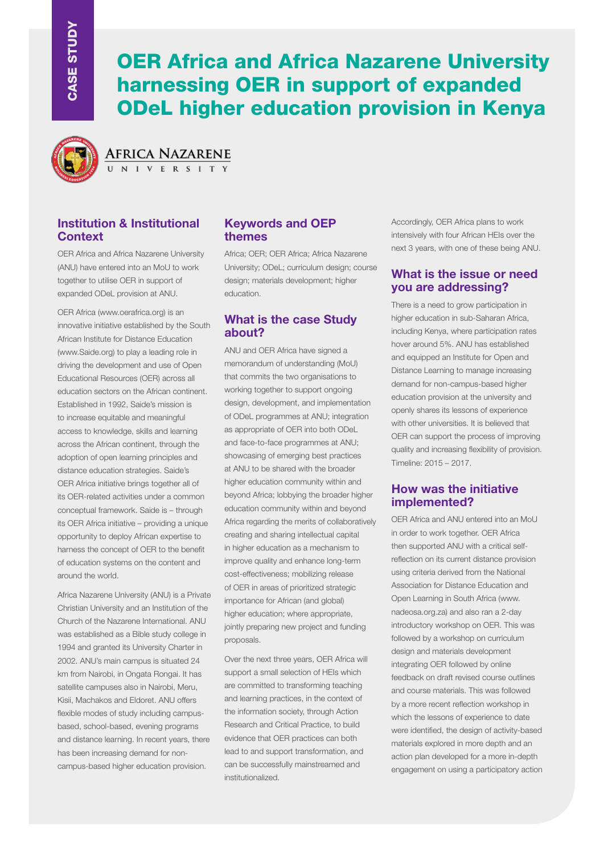# OER Africa and Africa Nazarene University harnessing OER in support of expanded ODeL higher education provision in Kenya



AFRICA NAZARENE

# **Institution & Institutional Context**

OER Africa and Africa Nazarene University (ANU) have entered into an MoU to work together to utilise OER in support of expanded ODeL provision at ANU.

OER Africa (www.oerafrica.org) is an innovative initiative established by the South African Institute for Distance Education (www.Saide.org) to play a leading role in driving the development and use of Open Educational Resources (OER) across all education sectors on the African continent. Established in 1992, Saide's mission is to increase equitable and meaningful access to knowledge, skills and learning across the African continent, through the adoption of open learning principles and distance education strategies. Saide's OER Africa initiative brings together all of its OER-related activities under a common conceptual framework. Saide is – through its OER Africa initiative – providing a unique opportunity to deploy African expertise to harness the concept of OER to the benefit of education systems on the content and around the world.

Africa Nazarene University (ANU) is a Private Christian University and an Institution of the Church of the Nazarene International. ANU was established as a Bible study college in 1994 and granted its University Charter in 2002. ANU's main campus is situated 24 km from Nairobi, in Ongata Rongai. It has satellite campuses also in Nairobi, Meru, Kisii, Machakos and Eldoret. ANU offers flexible modes of study including campusbased, school-based, evening programs and distance learning. In recent years, there has been increasing demand for noncampus-based higher education provision.

# **Keywords and OEP themes**

Africa; OER; OER Africa; Africa Nazarene University; ODeL; curriculum design; course design; materials development; higher education.

## **What is the case Study about?**

ANU and OER Africa have signed a memorandum of understanding (MoU) that commits the two organisations to working together to support ongoing design, development, and implementation of ODeL programmes at ANU; integration as appropriate of OER into both ODeL and face-to-face programmes at ANU; showcasing of emerging best practices at ANU to be shared with the broader higher education community within and beyond Africa; lobbying the broader higher education community within and beyond Africa regarding the merits of collaboratively creating and sharing intellectual capital in higher education as a mechanism to improve quality and enhance long-term cost-effectiveness; mobilizing release of OER in areas of prioritized strategic importance for African (and global) higher education; where appropriate, jointly preparing new project and funding proposals.

Over the next three years, OER Africa will support a small selection of HEIs which are committed to transforming teaching and learning practices, in the context of the information society, through Action Research and Critical Practice, to build evidence that OER practices can both lead to and support transformation, and can be successfully mainstreamed and institutionalized.

Accordingly, OER Africa plans to work intensively with four African HEIs over the next 3 years, with one of these being ANU.

#### **What is the issue or need you are addressing?**

There is a need to grow participation in higher education in sub-Saharan Africa, including Kenya, where participation rates hover around 5%. ANU has established and equipped an Institute for Open and Distance Learning to manage increasing demand for non-campus-based higher education provision at the university and openly shares its lessons of experience with other universities. It is believed that OER can support the process of improving quality and increasing flexibility of provision. Timeline: 2015 – 2017.

## **How was the initiative implemented?**

OER Africa and ANU entered into an MoU in order to work together. OER Africa then supported ANU with a critical selfreflection on its current distance provision using criteria derived from the National Association for Distance Education and Open Learning in South Africa (www. nadeosa.org.za) and also ran a 2-day introductory workshop on OER. This was followed by a workshop on curriculum design and materials development integrating OER followed by online feedback on draft revised course outlines and course materials. This was followed by a more recent reflection workshop in which the lessons of experience to date were identified, the design of activity-based materials explored in more depth and an action plan developed for a more in-depth engagement on using a participatory action